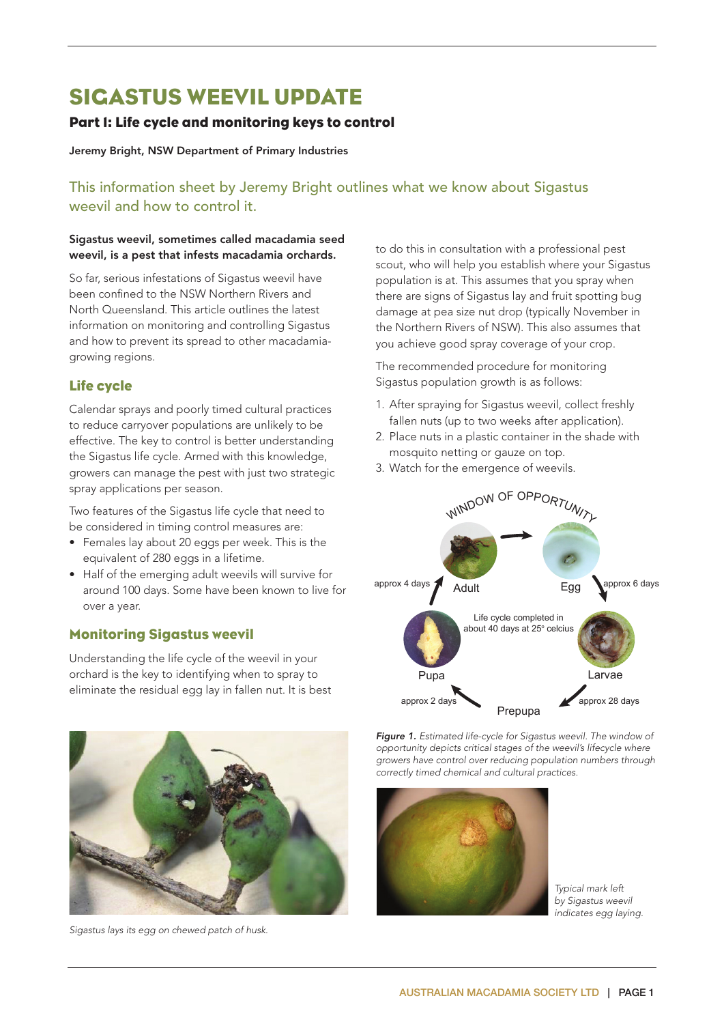# SIGASTUS WEEVIL UPDATE

# Part 1: Life cycle and monitoring keys to control

#### Jeremy Bright, NSW Department of Primary Industries

# This information sheet by Jeremy Bright outlines what we know about Sigastus weevil and how to control it.

#### Sigastus weevil, sometimes called macadamia seed weevil, is a pest that infests macadamia orchards.

So far, serious infestations of Sigastus weevil have been confined to the NSW Northern Rivers and North Queensland. This article outlines the latest information on monitoring and controlling Sigastus and how to prevent its spread to other macadamiagrowing regions.

## Life cycle

Calendar sprays and poorly timed cultural practices to reduce carryover populations are unlikely to be effective. The key to control is better understanding the Sigastus life cycle. Armed with this knowledge, growers can manage the pest with just two strategic spray applications per season.

Two features of the Sigastus life cycle that need to be considered in timing control measures are:

- Females lay about 20 eggs per week. This is the equivalent of 280 eggs in a lifetime.
- Half of the emerging adult weevils will survive for around 100 days. Some have been known to live for over a year.

## Monitoring Sigastus weevil

Understanding the life cycle of the weevil in your orchard is the key to identifying when to spray to eliminate the residual egg lay in fallen nut. It is best



*Sigastus lays its egg on chewed patch of husk.*

to do this in consultation with a professional pest scout, who will help you establish where your Sigastus population is at. This assumes that you spray when there are signs of Sigastus lay and fruit spotting bug damage at pea size nut drop (typically November in the Northern Rivers of NSW). This also assumes that you achieve good spray coverage of your crop.

The recommended procedure for monitoring Sigastus population growth is as follows:

- 1. After spraying for Sigastus weevil, collect freshly fallen nuts (up to two weeks after application).
- 2. Place nuts in a plastic container in the shade with mosquito netting or gauze on top.
- 3. Watch for the emergence of weevils.



*Figure 1. Estimated life-cycle for Sigastus weevil. The window of opportunity depicts critical stages of the weevil's lifecycle where growers have control over reducing population numbers through correctly timed chemical and cultural practices.*



*Typical mark left by Sigastus weevil indicates egg laying.*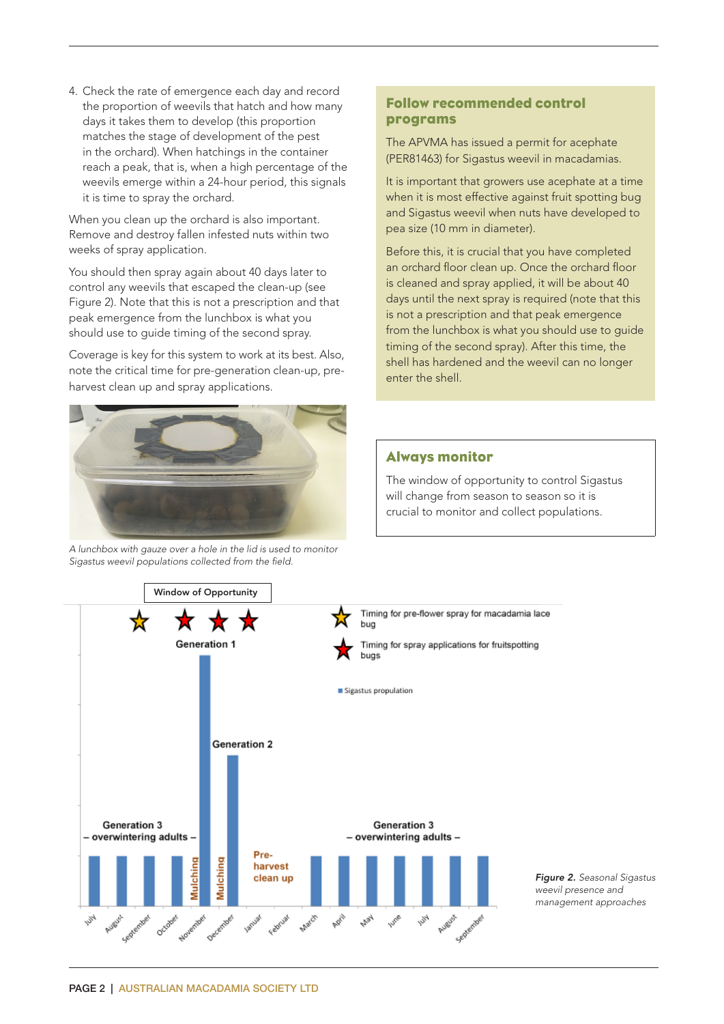4. Check the rate of emergence each day and record the proportion of weevils that hatch and how many days it takes them to develop (this proportion matches the stage of development of the pest in the orchard). When hatchings in the container reach a peak, that is, when a high percentage of the weevils emerge within a 24-hour period, this signals it is time to spray the orchard.

When you clean up the orchard is also important. Remove and destroy fallen infested nuts within two weeks of spray application.

You should then spray again about 40 days later to control any weevils that escaped the clean-up (see Figure 2). Note that this is not a prescription and that peak emergence from the lunchbox is what you should use to guide timing of the second spray.

Coverage is key for this system to work at its best. Also, note the critical time for pre-generation clean-up, preharvest clean up and spray applications.



*A lunchbox with gauze over a hole in the lid is used to monitor Sigastus weevil populations collected from the field.*

## Follow recommended control programs

The APVMA has issued a permit for acephate (PER81463) for Sigastus weevil in macadamias.

It is important that growers use acephate at a time when it is most effective against fruit spotting bug and Sigastus weevil when nuts have developed to pea size (10 mm in diameter).

Before this, it is crucial that you have completed an orchard floor clean up. Once the orchard floor is cleaned and spray applied, it will be about 40 days until the next spray is required (note that this is not a prescription and that peak emergence from the lunchbox is what you should use to guide timing of the second spray). After this time, the shell has hardened and the weevil can no longer enter the shell.

### Always monitor

The window of opportunity to control Sigastus will change from season to season so it is crucial to monitor and collect populations.

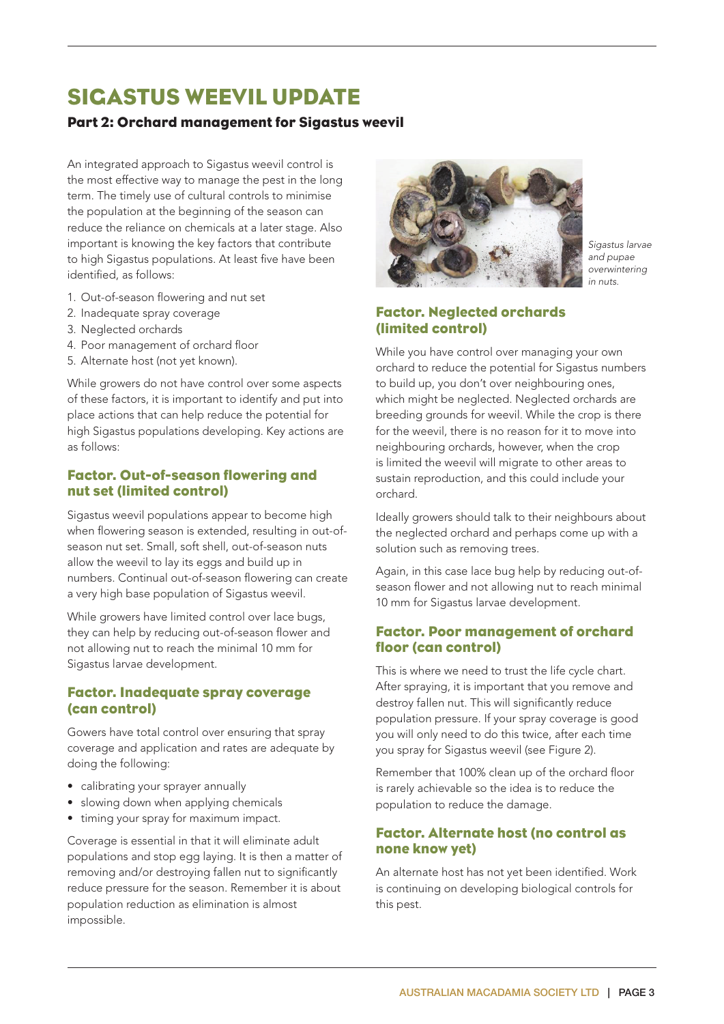# SIGASTUS WEEVIL UPDATE

# Part 2: Orchard management for Sigastus weevil

An integrated approach to Sigastus weevil control is the most effective way to manage the pest in the long term. The timely use of cultural controls to minimise the population at the beginning of the season can reduce the reliance on chemicals at a later stage. Also important is knowing the key factors that contribute to high Sigastus populations. At least five have been identified, as follows:

- 1. Out-of-season flowering and nut set
- 2. Inadequate spray coverage
- 3. Neglected orchards
- 4. Poor management of orchard floor
- 5. Alternate host (not yet known).

While growers do not have control over some aspects of these factors, it is important to identify and put into place actions that can help reduce the potential for high Sigastus populations developing. Key actions are as follows:

### Factor. Out-of-season flowering and nut set (limited control)

Sigastus weevil populations appear to become high when flowering season is extended, resulting in out-ofseason nut set. Small, soft shell, out-of-season nuts allow the weevil to lay its eggs and build up in numbers. Continual out-of-season flowering can create a very high base population of Sigastus weevil.

While growers have limited control over lace bugs, they can help by reducing out-of-season flower and not allowing nut to reach the minimal 10 mm for Sigastus larvae development.

## Factor. Inadequate spray coverage (can control)

Gowers have total control over ensuring that spray coverage and application and rates are adequate by doing the following:

- calibrating your sprayer annually
- slowing down when applying chemicals
- timing your spray for maximum impact.

Coverage is essential in that it will eliminate adult populations and stop egg laying. It is then a matter of removing and/or destroying fallen nut to significantly reduce pressure for the season. Remember it is about population reduction as elimination is almost impossible.



*Sigastus larvae and pupae overwintering in nuts.*

## Factor. Neglected orchards (limited control)

While you have control over managing your own orchard to reduce the potential for Sigastus numbers to build up, you don't over neighbouring ones, which might be neglected. Neglected orchards are breeding grounds for weevil. While the crop is there for the weevil, there is no reason for it to move into neighbouring orchards, however, when the crop is limited the weevil will migrate to other areas to sustain reproduction, and this could include your orchard.

Ideally growers should talk to their neighbours about the neglected orchard and perhaps come up with a solution such as removing trees.

Again, in this case lace bug help by reducing out-ofseason flower and not allowing nut to reach minimal 10 mm for Sigastus larvae development.

## Factor. Poor management of orchard floor (can control)

This is where we need to trust the life cycle chart. After spraying, it is important that you remove and destroy fallen nut. This will significantly reduce population pressure. If your spray coverage is good you will only need to do this twice, after each time you spray for Sigastus weevil (see Figure 2).

Remember that 100% clean up of the orchard floor is rarely achievable so the idea is to reduce the population to reduce the damage.

## Factor. Alternate host (no control as none know yet)

An alternate host has not yet been identified. Work is continuing on developing biological controls for this pest.